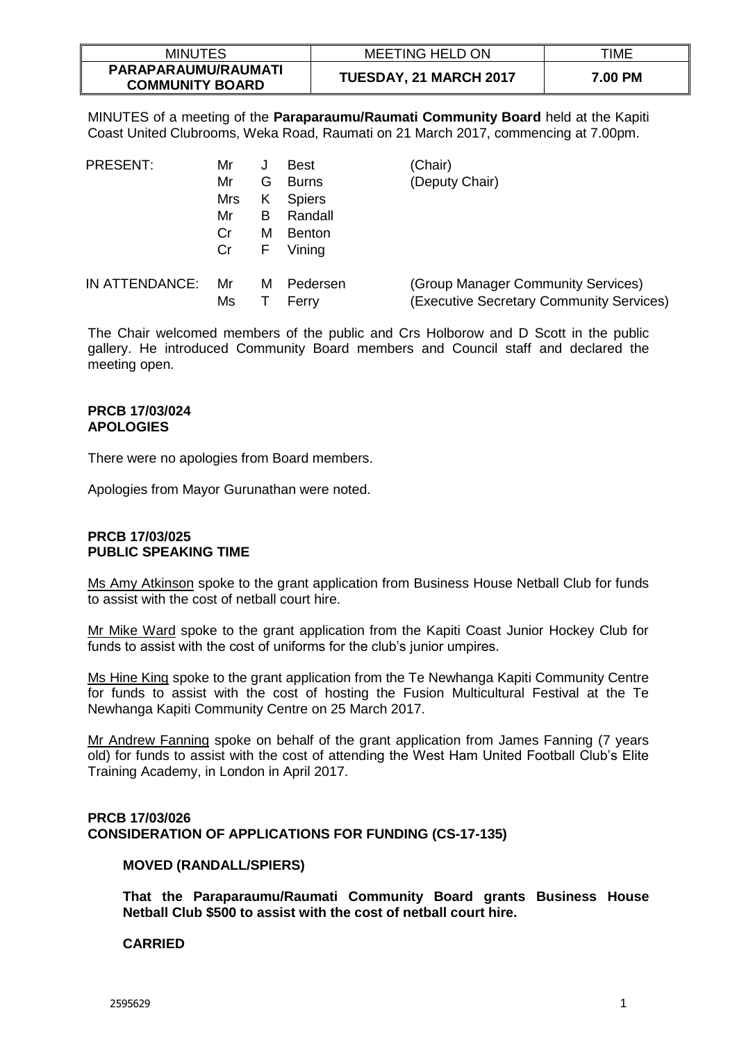| <b>MINUTES</b>                                | <b>MEETING HELD ON</b> | TIME    |
|-----------------------------------------------|------------------------|---------|
| PARAPARAUMU/RAUMATI<br><b>COMMUNITY BOARD</b> | TUESDAY, 21 MARCH 2017 | 7.00 PM |

MINUTES of a meeting of the **Paraparaumu/Raumati Community Board** held at the Kapiti Coast United Clubrooms, Weka Road, Raumati on 21 March 2017, commencing at 7.00pm.

| <b>PRESENT:</b> | Mr  | J | <b>Best</b>   | (Chair)                                  |
|-----------------|-----|---|---------------|------------------------------------------|
|                 | Mr  | G | <b>Burns</b>  | (Deputy Chair)                           |
|                 | Mrs | Κ | <b>Spiers</b> |                                          |
|                 | Mr  | В | Randall       |                                          |
|                 | Cr  | м | <b>Benton</b> |                                          |
|                 | Cr  | F | Vining        |                                          |
| IN ATTENDANCE:  | Mr  | м | Pedersen      | (Group Manager Community Services)       |
|                 | Ms  |   | Ferry         | (Executive Secretary Community Services) |

The Chair welcomed members of the public and Crs Holborow and D Scott in the public gallery. He introduced Community Board members and Council staff and declared the meeting open.

#### **PRCB 17/03/024 APOLOGIES**

There were no apologies from Board members.

Apologies from Mayor Gurunathan were noted.

### **PRCB 17/03/025 PUBLIC SPEAKING TIME**

Ms Amy Atkinson spoke to the grant application from Business House Netball Club for funds to assist with the cost of netball court hire.

Mr Mike Ward spoke to the grant application from the Kapiti Coast Junior Hockey Club for funds to assist with the cost of uniforms for the club's junior umpires.

Ms Hine King spoke to the grant application from the Te Newhanga Kapiti Community Centre for funds to assist with the cost of hosting the Fusion Multicultural Festival at the Te Newhanga Kapiti Community Centre on 25 March 2017.

Mr Andrew Fanning spoke on behalf of the grant application from James Fanning (7 years old) for funds to assist with the cost of attending the West Ham United Football Club's Elite Training Academy, in London in April 2017.

# **PRCB 17/03/026 CONSIDERATION OF APPLICATIONS FOR FUNDING (CS-17-135)**

### **MOVED (RANDALL/SPIERS)**

**That the Paraparaumu/Raumati Community Board grants Business House Netball Club \$500 to assist with the cost of netball court hire.** 

# **CARRIED**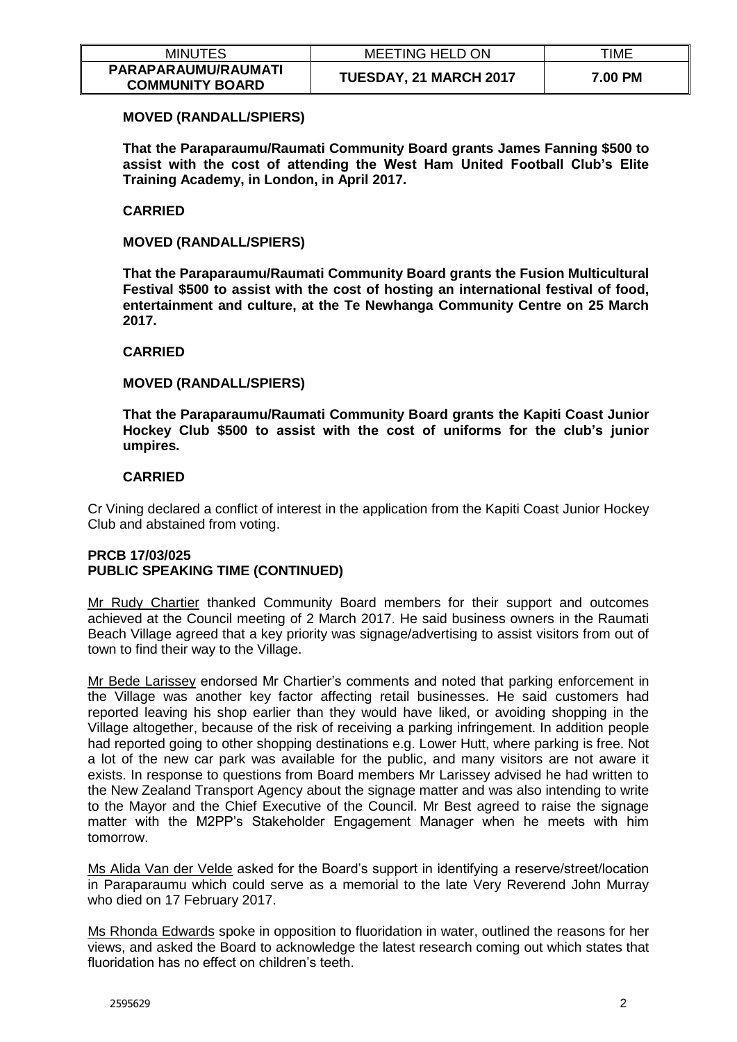| <b>MINUTES</b>                                | <b>MEETING HELD ON</b> | TIME    |
|-----------------------------------------------|------------------------|---------|
| PARAPARAUMU/RAUMATI<br><b>COMMUNITY BOARD</b> | TUESDAY, 21 MARCH 2017 | 7.00 PM |

## **MOVED (RANDALL/SPIERS)**

**That the Paraparaumu/Raumati Community Board grants James Fanning \$500 to assist with the cost of attending the West Ham United Football Club's Elite Training Academy, in London, in April 2017.** 

## **CARRIED**

**MOVED (RANDALL/SPIERS)**

**That the Paraparaumu/Raumati Community Board grants the Fusion Multicultural Festival \$500 to assist with the cost of hosting an international festival of food, entertainment and culture, at the Te Newhanga Community Centre on 25 March 2017.** 

## **CARRIED**

## **MOVED (RANDALL/SPIERS)**

**That the Paraparaumu/Raumati Community Board grants the Kapiti Coast Junior Hockey Club \$500 to assist with the cost of uniforms for the club's junior umpires.** 

## **CARRIED**

Cr Vining declared a conflict of interest in the application from the Kapiti Coast Junior Hockey Club and abstained from voting.

# **PRCB 17/03/025 PUBLIC SPEAKING TIME (CONTINUED)**

Mr Rudy Chartier thanked Community Board members for their support and outcomes achieved at the Council meeting of 2 March 2017. He said business owners in the Raumati Beach Village agreed that a key priority was signage/advertising to assist visitors from out of town to find their way to the Village.

Mr Bede Larissey endorsed Mr Chartier's comments and noted that parking enforcement in the Village was another key factor affecting retail businesses. He said customers had reported leaving his shop earlier than they would have liked, or avoiding shopping in the Village altogether, because of the risk of receiving a parking infringement. In addition people had reported going to other shopping destinations e.g. Lower Hutt, where parking is free. Not a lot of the new car park was available for the public, and many visitors are not aware it exists. In response to questions from Board members Mr Larissey advised he had written to the New Zealand Transport Agency about the signage matter and was also intending to write to the Mayor and the Chief Executive of the Council. Mr Best agreed to raise the signage matter with the M2PP's Stakeholder Engagement Manager when he meets with him tomorrow.

Ms Alida Van der Velde asked for the Board's support in identifying a reserve/street/location in Paraparaumu which could serve as a memorial to the late Very Reverend John Murray who died on 17 February 2017.

Ms Rhonda Edwards spoke in opposition to fluoridation in water, outlined the reasons for her views, and asked the Board to acknowledge the latest research coming out which states that fluoridation has no effect on children's teeth.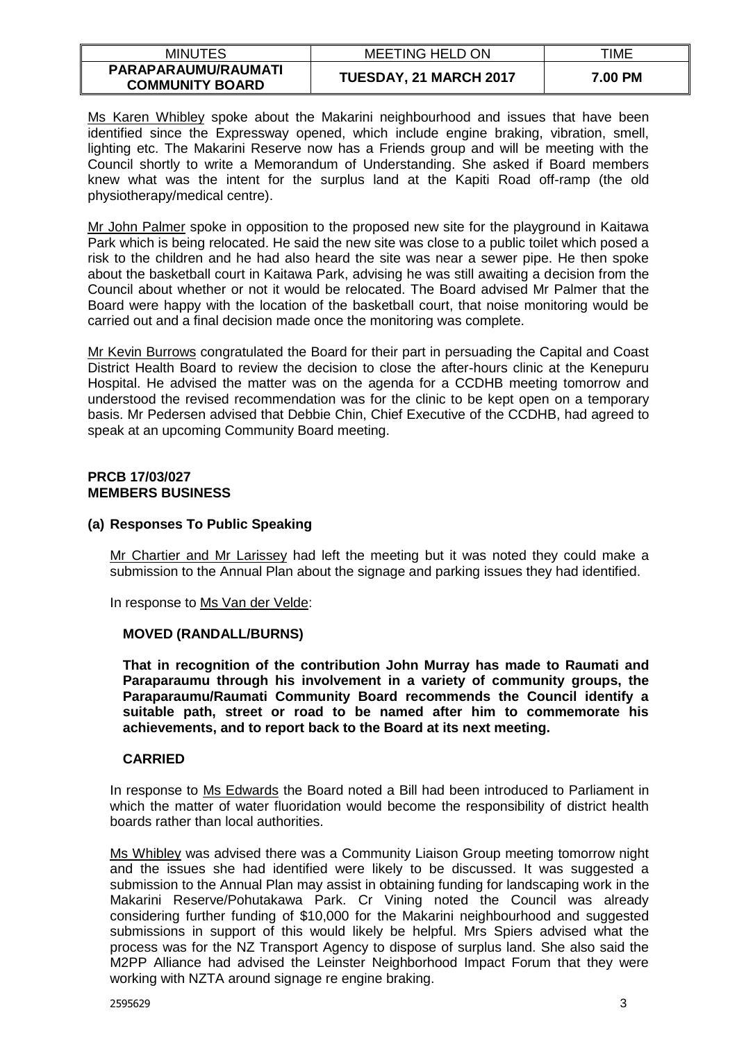| <b>MINUTES</b>                                | <b>MEETING HELD ON</b>        | TIME    |
|-----------------------------------------------|-------------------------------|---------|
| PARAPARAUMU/RAUMATI<br><b>COMMUNITY BOARD</b> | <b>TUESDAY, 21 MARCH 2017</b> | 7.00 PM |

Ms Karen Whibley spoke about the Makarini neighbourhood and issues that have been identified since the Expressway opened, which include engine braking, vibration, smell, lighting etc. The Makarini Reserve now has a Friends group and will be meeting with the Council shortly to write a Memorandum of Understanding. She asked if Board members knew what was the intent for the surplus land at the Kapiti Road off-ramp (the old physiotherapy/medical centre).

Mr John Palmer spoke in opposition to the proposed new site for the playground in Kaitawa Park which is being relocated. He said the new site was close to a public toilet which posed a risk to the children and he had also heard the site was near a sewer pipe. He then spoke about the basketball court in Kaitawa Park, advising he was still awaiting a decision from the Council about whether or not it would be relocated. The Board advised Mr Palmer that the Board were happy with the location of the basketball court, that noise monitoring would be carried out and a final decision made once the monitoring was complete.

Mr Kevin Burrows congratulated the Board for their part in persuading the Capital and Coast District Health Board to review the decision to close the after-hours clinic at the Kenepuru Hospital. He advised the matter was on the agenda for a CCDHB meeting tomorrow and understood the revised recommendation was for the clinic to be kept open on a temporary basis. Mr Pedersen advised that Debbie Chin, Chief Executive of the CCDHB, had agreed to speak at an upcoming Community Board meeting.

### **PRCB 17/03/027 MEMBERS BUSINESS**

## **(a) Responses To Public Speaking**

Mr Chartier and Mr Larissey had left the meeting but it was noted they could make a submission to the Annual Plan about the signage and parking issues they had identified.

In response to Ms Van der Velde:

# **MOVED (RANDALL/BURNS)**

**That in recognition of the contribution John Murray has made to Raumati and Paraparaumu through his involvement in a variety of community groups, the Paraparaumu/Raumati Community Board recommends the Council identify a suitable path, street or road to be named after him to commemorate his achievements, and to report back to the Board at its next meeting.** 

# **CARRIED**

In response to Ms Edwards the Board noted a Bill had been introduced to Parliament in which the matter of water fluoridation would become the responsibility of district health boards rather than local authorities.

Ms Whibley was advised there was a Community Liaison Group meeting tomorrow night and the issues she had identified were likely to be discussed. It was suggested a submission to the Annual Plan may assist in obtaining funding for landscaping work in the Makarini Reserve/Pohutakawa Park. Cr Vining noted the Council was already considering further funding of \$10,000 for the Makarini neighbourhood and suggested submissions in support of this would likely be helpful. Mrs Spiers advised what the process was for the NZ Transport Agency to dispose of surplus land. She also said the M2PP Alliance had advised the Leinster Neighborhood Impact Forum that they were working with NZTA around signage re engine braking.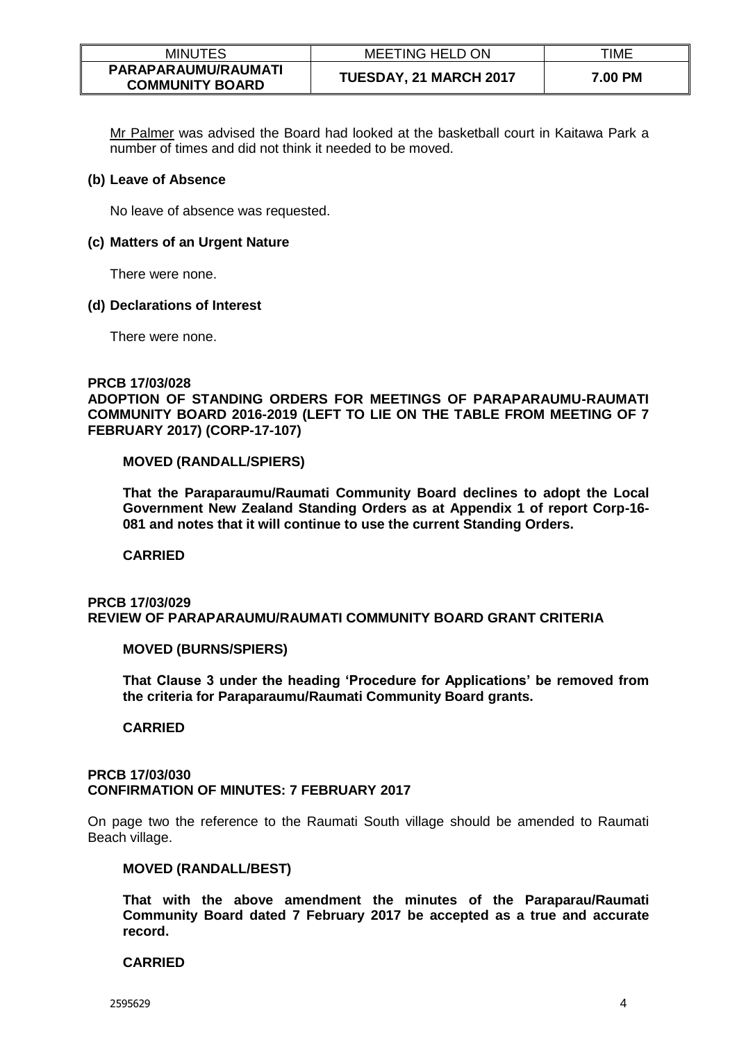| <b>MINUTES</b>                                | <b>MEETING HELD ON</b> | TIME    |
|-----------------------------------------------|------------------------|---------|
| PARAPARAUMU/RAUMATI<br><b>COMMUNITY BOARD</b> | TUESDAY, 21 MARCH 2017 | 7.00 PM |

Mr Palmer was advised the Board had looked at the basketball court in Kaitawa Park a number of times and did not think it needed to be moved.

#### **(b) Leave of Absence**

No leave of absence was requested.

#### **(c) Matters of an Urgent Nature**

There were none.

#### **(d) Declarations of Interest**

There were none.

#### **PRCB 17/03/028**

**ADOPTION OF STANDING ORDERS FOR MEETINGS OF PARAPARAUMU-RAUMATI COMMUNITY BOARD 2016-2019 (LEFT TO LIE ON THE TABLE FROM MEETING OF 7 FEBRUARY 2017) (CORP-17-107)**

### **MOVED (RANDALL/SPIERS)**

**That the Paraparaumu/Raumati Community Board declines to adopt the Local Government New Zealand Standing Orders as at Appendix 1 of report Corp-16- 081 and notes that it will continue to use the current Standing Orders.** 

**CARRIED**

### **PRCB 17/03/029 REVIEW OF PARAPARAUMU/RAUMATI COMMUNITY BOARD GRANT CRITERIA**

### **MOVED (BURNS/SPIERS)**

**That Clause 3 under the heading 'Procedure for Applications' be removed from the criteria for Paraparaumu/Raumati Community Board grants.** 

### **CARRIED**

#### **PRCB 17/03/030 CONFIRMATION OF MINUTES: 7 FEBRUARY 2017**

On page two the reference to the Raumati South village should be amended to Raumati Beach village.

#### **MOVED (RANDALL/BEST)**

**That with the above amendment the minutes of the Paraparau/Raumati Community Board dated 7 February 2017 be accepted as a true and accurate record.**

### **CARRIED**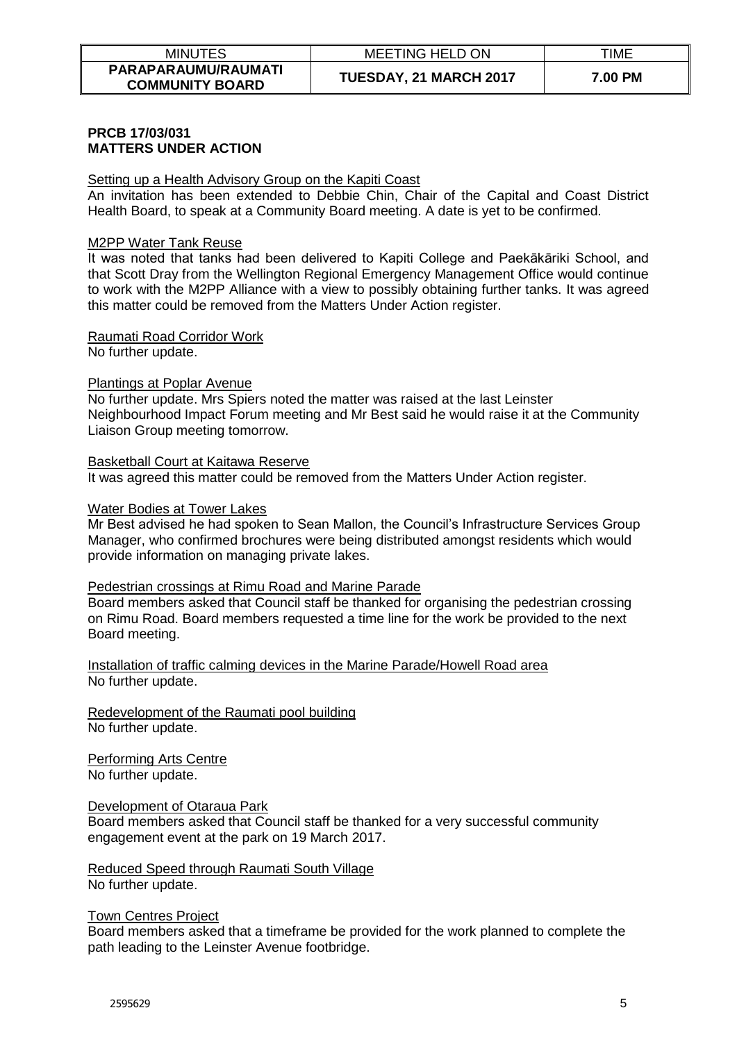| <b>MINUTES</b>                                | <b>MEETING HELD ON</b>        | TIME    |
|-----------------------------------------------|-------------------------------|---------|
| PARAPARAUMU/RAUMATI<br><b>COMMUNITY BOARD</b> | <b>TUESDAY, 21 MARCH 2017</b> | 7.00 PM |

### **PRCB 17/03/031 MATTERS UNDER ACTION**

### Setting up a Health Advisory Group on the Kapiti Coast

An invitation has been extended to Debbie Chin, Chair of the Capital and Coast District Health Board, to speak at a Community Board meeting. A date is yet to be confirmed.

#### M2PP Water Tank Reuse

It was noted that tanks had been delivered to Kapiti College and Paekākāriki School, and that Scott Dray from the Wellington Regional Emergency Management Office would continue to work with the M2PP Alliance with a view to possibly obtaining further tanks. It was agreed this matter could be removed from the Matters Under Action register.

#### Raumati Road Corridor Work

No further update.

### Plantings at Poplar Avenue

No further update. Mrs Spiers noted the matter was raised at the last Leinster Neighbourhood Impact Forum meeting and Mr Best said he would raise it at the Community Liaison Group meeting tomorrow.

#### Basketball Court at Kaitawa Reserve

It was agreed this matter could be removed from the Matters Under Action register.

#### Water Bodies at Tower Lakes

Mr Best advised he had spoken to Sean Mallon, the Council's Infrastructure Services Group Manager, who confirmed brochures were being distributed amongst residents which would provide information on managing private lakes.

### Pedestrian crossings at Rimu Road and Marine Parade

Board members asked that Council staff be thanked for organising the pedestrian crossing on Rimu Road. Board members requested a time line for the work be provided to the next Board meeting.

Installation of traffic calming devices in the Marine Parade/Howell Road area No further update.

Redevelopment of the Raumati pool building No further update.

Performing Arts Centre No further update.

### Development of Otaraua Park

Board members asked that Council staff be thanked for a very successful community engagement event at the park on 19 March 2017.

#### Reduced Speed through Raumati South Village No further update.

#### Town Centres Project

Board members asked that a timeframe be provided for the work planned to complete the path leading to the Leinster Avenue footbridge.